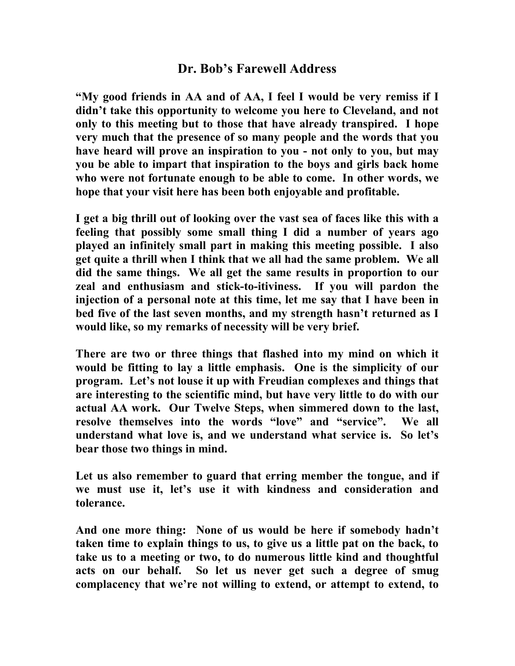## Dr. Bob's Farewell Address

"My good friends in AA and of AA, I feel I would be very remiss if I didn't take this opportunity to welcome you here to Cleveland, and not only to this meeting but to those that have already transpired. I hope very much that the presence of so many people and the words that you have heard will prove an inspiration to you - not only to you, but may you be able to impart that inspiration to the boys and girls back home who were not fortunate enough to be able to come. In other words, we hope that your visit here has been both enjoyable and profitable.

I get a big thrill out of looking over the vast sea of faces like this with a feeling that possibly some small thing I did a number of years ago played an infinitely small part in making this meeting possible. I also get quite a thrill when I think that we all had the same problem. We all did the same things. We all get the same results in proportion to our zeal and enthusiasm and stick-to-itiviness. If you will pardon the injection of a personal note at this time, let me say that I have been in bed five of the last seven months, and my strength hasn't returned as I would like, so my remarks of necessity will be very brief.

There are two or three things that flashed into my mind on which it would be fitting to lay a little emphasis. One is the simplicity of our program. Let's not louse it up with Freudian complexes and things that are interesting to the scientific mind, but have very little to do with our actual AA work. Our Twelve Steps, when simmered down to the last, resolve themselves into the words "love" and "service". We all understand what love is, and we understand what service is. So let's bear those two things in mind.

Let us also remember to guard that erring member the tongue, and if we must use it, let's use it with kindness and consideration and tolerance.

And one more thing: None of us would be here if somebody hadn't taken time to explain things to us, to give us a little pat on the back, to take us to a meeting or two, to do numerous little kind and thoughtful acts on our behalf. So let us never get such a degree of smug complacency that we're not willing to extend, or attempt to extend, to